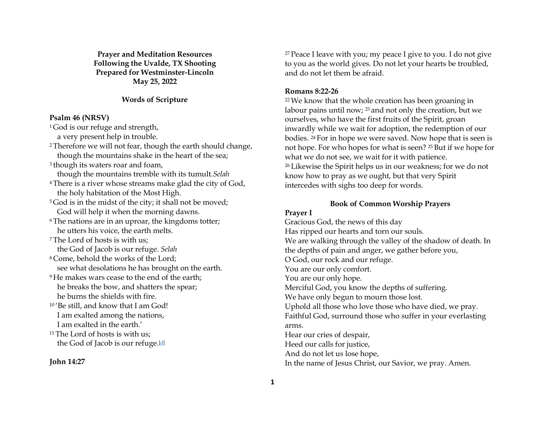**Prayer and Meditation Resources Following the Uvalde, TX Shooting Prepared for Westminster-Lincoln May 25, 2022**

### **Words of Scripture**

#### **Psalm 46 (NRSV)**

<sup>1</sup>God is our refuge and strength,

a very present help in trouble.

- <sup>2</sup> Therefore we will not fear, though the earth should change, though the mountains shake in the heart of the sea;
- <sup>3</sup> though its waters roar and foam, though the mountains tremble with its tumult.*Selah*
- <sup>4</sup> There is a river whose streams make glad the city of God,
- the holy habitation of the Most High. <sup>5</sup> God is in the midst of the city; it shall not be moved;
- God will help it when the morning dawns.
- <sup>6</sup>The nations are in an uproar, the kingdoms totter; he utters his voice, the earth melts.
- <sup>7</sup> The Lord of hosts is with us; the God of Jacob is our refuge. *Selah*
- <sup>8</sup> Come, behold the works of the Lord; see what desolations he has brought on the earth.
- <sup>9</sup> He makes wars cease to the end of the earth; he breaks the bow, and shatters the spear; he burns the shields with fire.
- <sup>10</sup> 'Be still, and know that I am God! I am exalted among the nations, I am exalted in the earth.'
- <sup>11</sup> The Lord of hosts is with us; the God of Jacob is our refuge.<sup>[d]</sup>

#### **John 14:27**

 $27$  Peace I leave with you; my peace I give to you. I do not give to you as the world gives. Do not let your hearts be troubled, and do not let them be afraid.

# **Romans 8:22-26**

<sup>22</sup>We know that the whole creation has been groaning in labour pains until now; <sup>23</sup> and not only the creation, but we ourselves, who have the first fruits of the Spirit, groan inwardly while we wait for adoption, the redemption of our bodies. <sup>24</sup> For in hope we were saved. Now hope that is seen is not hope. For who hopes for what is seen? <sup>25</sup> But if we hope for what we do not see, we wait for it with patience. <sup>26</sup> Likewise the Spirit helps us in our weakness; for we do not know how to pray as we ought, but that very Spirit intercedes with sighs too deep for words.

# **Book of Common Worship Prayers**

#### **Prayer I**

Gracious God, the news of this day Has ripped our hearts and torn our souls. We are walking through the valley of the shadow of death. In the depths of pain and anger, we gather before you, O God, our rock and our refuge. You are our only comfort. You are our only hope. Merciful God, you know the depths of suffering. We have only begun to mourn those lost. Uphold all those who love those who have died, we pray. Faithful God, surround those who suffer in your everlasting arms. Hear our cries of despair, Heed our calls for justice, And do not let us lose hope, In the name of Jesus Christ, our Savior, we pray. Amen.